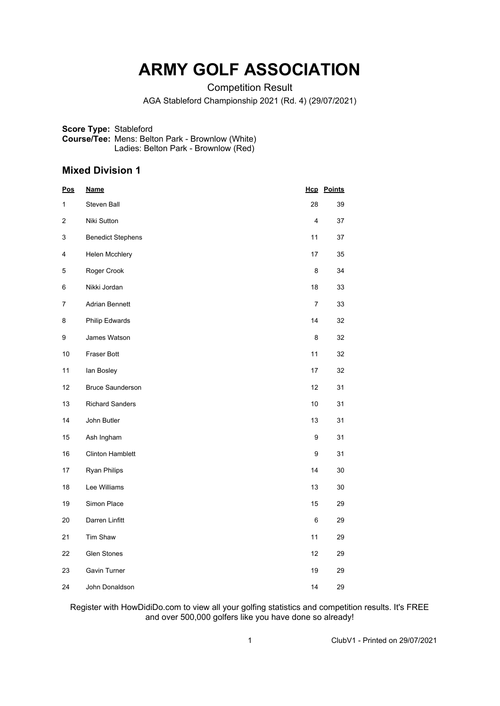## **ARMY GOLF ASSOCIATION**

Competition Result

AGA Stableford Championship 2021 (Rd. 4) (29/07/2021)

**Score Type:** Stableford **Course/Tee:** Mens: Belton Park - Brownlow (White) Ladies: Belton Park - Brownlow (Red)

## **Mixed Division 1**

| <u>Pos</u> | <u>Name</u>              | <u>Нср</u>     | <u>Points</u> |
|------------|--------------------------|----------------|---------------|
| 1          | Steven Ball              | 28             | 39            |
| 2          | Niki Sutton              | 4              | 37            |
| 3          | <b>Benedict Stephens</b> | 11             | 37            |
| 4          | Helen Mcchlery           | 17             | 35            |
| 5          | Roger Crook              | 8              | 34            |
| 6          | Nikki Jordan             | 18             | 33            |
| 7          | Adrian Bennett           | $\overline{7}$ | 33            |
| 8          | Philip Edwards           | 14             | 32            |
| 9          | James Watson             | 8              | 32            |
| 10         | Fraser Bott              | 11             | 32            |
| 11         | lan Bosley               | 17             | 32            |
| 12         | <b>Bruce Saunderson</b>  | 12             | 31            |
| 13         | <b>Richard Sanders</b>   | 10             | 31            |
| 14         | John Butler              | 13             | 31            |
| 15         | Ash Ingham               | 9              | 31            |
| 16         | <b>Clinton Hamblett</b>  | 9              | 31            |
| 17         | <b>Ryan Philips</b>      | 14             | 30            |
| 18         | Lee Williams             | 13             | 30            |
| 19         | Simon Place              | 15             | 29            |
| 20         | Darren Linfitt           | 6              | 29            |
| 21         | Tim Shaw                 | 11             | 29            |
| 22         | <b>Glen Stones</b>       | 12             | 29            |
| 23         | <b>Gavin Turner</b>      | 19             | 29            |
| 24         | John Donaldson           | 14             | 29            |

Register with HowDidiDo.com to view all your golfing statistics and competition results. It's FREE and over 500,000 golfers like you have done so already!